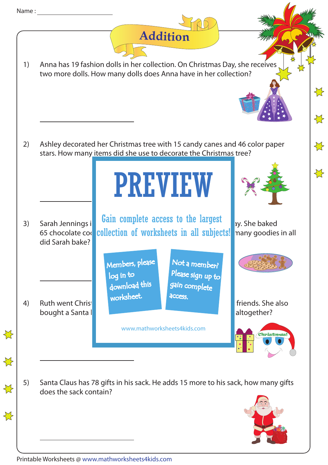